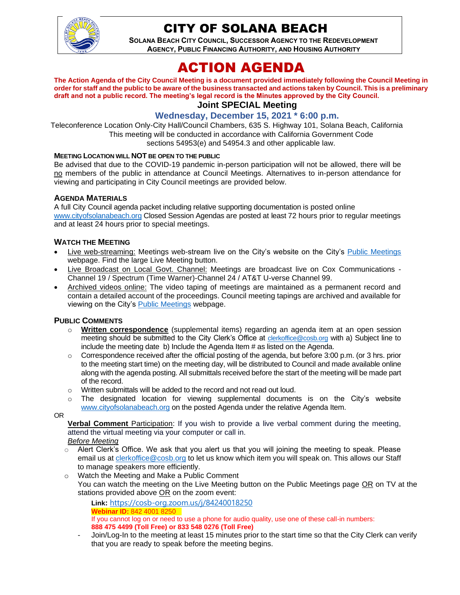

# CITY OF SOLANA BEACH

**SOLANA BEACH CITY COUNCIL, SUCCESSOR AGENCY TO THE REDEVELOPMENT AGENCY, PUBLIC FINANCING AUTHORITY, AND HOUSING AUTHORITY** 

# ACTION AGENDA

**The Action Agenda of the City Council Meeting is a document provided immediately following the Council Meeting in order for staff and the public to be aware of the business transacted and actions taken by Council. This is a preliminary draft and not a public record. The meeting's legal record is the Minutes approved by the City Council. Joint SPECIAL Meeting**

# **Wednesday, December 15, 2021 \* 6:00 p.m.**

Teleconference Location Only-City Hall/Council Chambers, 635 S. Highway 101, Solana Beach, California This meeting will be conducted in accordance with California Government Code sections 54953(e) and 54954.3 and other applicable law.

#### **MEETING LOCATION WILL NOT BE OPEN TO THE PUBLIC**

Be advised that due to the COVID-19 pandemic in-person participation will not be allowed, there will be no members of the public in attendance at Council Meetings. Alternatives to in-person attendance for viewing and participating in City Council meetings are provided below.

#### **AGENDA MATERIALS**

A full City Council agenda packet including relative supporting documentation is posted online [www.cityofsolanabeach.org](http://www.cityofsolanabeach.org/) Closed Session Agendas are posted at least 72 hours prior to regular meetings and at least 24 hours prior to special meetings.

### **WATCH THE MEETING**

- Live web-streaming: Meetings web-stream live on the City's website on the City's [Public Meetings](https://urldefense.proofpoint.com/v2/url?u=https-3A__www.ci.solana-2Dbeach.ca.us_index.asp-3FSEC-3DF0F1200D-2D21C6-2D4A88-2D8AE1-2D0BC07C1A81A7-26Type-3DB-5FBASIC&d=DwMFAg&c=euGZstcaTDllvimEN8b7jXrwqOf-v5A_CdpgnVfiiMM&r=1XAsCUuqwK_tji2t0s1uIQ&m=wny2RVfZJ2tN24LkqZmkUWNpwL_peNtTZUBlTBZiMM4&s=WwpcEQpHHkFen6nS6q2waMuQ_VMZ-i1YZ60lD-dYRRE&e=) webpage. Find the large Live Meeting button.
- Live Broadcast on Local Govt. Channel: Meetings are broadcast live on Cox Communications Channel 19 / Spectrum (Time Warner)-Channel 24 / AT&T U-verse Channel 99.
- Archived videos online: The video taping of meetings are maintained as a permanent record and contain a detailed account of the proceedings. Council meeting tapings are archived and available for viewing on the City's [Public Meetings](https://urldefense.proofpoint.com/v2/url?u=https-3A__www.ci.solana-2Dbeach.ca.us_index.asp-3FSEC-3DF0F1200D-2D21C6-2D4A88-2D8AE1-2D0BC07C1A81A7-26Type-3DB-5FBASIC&d=DwMFAg&c=euGZstcaTDllvimEN8b7jXrwqOf-v5A_CdpgnVfiiMM&r=1XAsCUuqwK_tji2t0s1uIQ&m=wny2RVfZJ2tN24LkqZmkUWNpwL_peNtTZUBlTBZiMM4&s=WwpcEQpHHkFen6nS6q2waMuQ_VMZ-i1YZ60lD-dYRRE&e=) webpage.

#### **PUBLIC COMMENTS**

- o **Written correspondence** (supplemental items) regarding an agenda item at an open session meeting should be submitted to the City Clerk's Office at [clerkoffice@cosb.org](mailto:clerkoffice@cosb.org) with a) Subject line to include the meeting date b) Include the Agenda Item # as listed on the Agenda.
- $\circ$  Correspondence received after the official posting of the agenda, but before 3:00 p.m. (or 3 hrs. prior to the meeting start time) on the meeting day, will be distributed to Council and made available online along with the agenda posting. All submittals received before the start of the meeting will be made part of the record.
- o Written submittals will be added to the record and not read out loud.
- $\circ$  The designated location for viewing supplemental documents is on the City's website [www.cityofsolanabeach.org](http://www.cityofsolanabeach.org/) on the posted Agenda under the relative Agenda Item.

OR

**Verbal Comment** Participation: If you wish to provide a live verbal comment during the meeting, attend the virtual meeting via your computer or call in.

#### *Before Meeting*

- $\circ$  Alert Clerk's Office. We ask that you alert us that you will joining the meeting to speak. Please email us at [clerkoffice@cosb.org](mailto:clerkoffice@cosb.org) to let us know which item you will speak on. This allows our Staff to manage speakers more efficiently.
- o Watch the Meeting and Make a Public Comment You can watch the meeting on the Live Meeting button on the Public Meetings page OR on TV at the stations provided above OR on the zoom event:
	- **Link:** <https://cosb-org.zoom.us/j/84240018250> **Webinar ID:** 842 4001 8250 If you cannot log on or need to use a phone for audio quality, use one of these call-in numbers: **888 475 4499 (Toll Free) or 833 548 0276 (Toll Free)**
	- Join/Log-In to the meeting at least 15 minutes prior to the start time so that the City Clerk can verify that you are ready to speak before the meeting begins.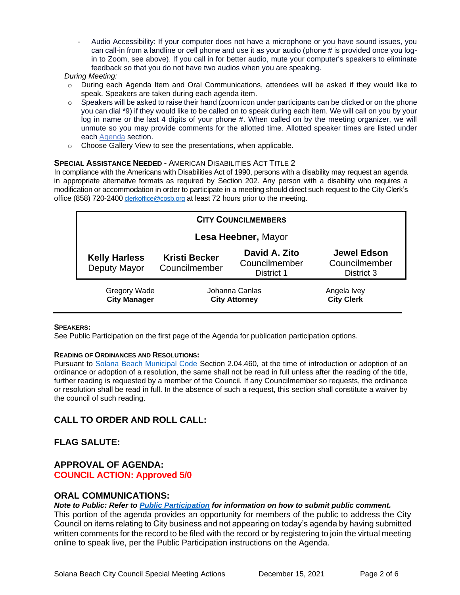Audio Accessibility: If your computer does not have a microphone or you have sound issues, you can call-in from a landline or cell phone and use it as your audio (phone # is provided once you login to Zoom, see above). If you call in for better audio, mute your computer's speakers to eliminate feedback so that you do not have two audios when you are speaking.

#### *During Meeting:*

- o During each Agenda Item and Oral Communications, attendees will be asked if they would like to speak. Speakers are taken during each agenda item.
- $\circ$  Speakers will be asked to raise their hand (zoom icon under participants can be clicked or on the phone you can dial \*9) if they would like to be called on to speak during each item. We will call on you by your log in name or the last 4 digits of your phone #. When called on by the meeting organizer, we will unmute so you may provide comments for the allotted time. Allotted speaker times are listed under each [Agenda](https://urldefense.proofpoint.com/v2/url?u=https-3A__www.ci.solana-2Dbeach.ca.us_index.asp-3FSEC-3DF0F1200D-2D21C6-2D4A88-2D8AE1-2D0BC07C1A81A7-26Type-3DB-5FBASIC&d=DwMFaQ&c=euGZstcaTDllvimEN8b7jXrwqOf-v5A_CdpgnVfiiMM&r=1XAsCUuqwK_tji2t0s1uIQ&m=C7WzXfOw2_nkEFMJClT55zZsF4tmIf_7KTn0o1WpYqI&s=3DcsWExM2_nx_xpvFtXslUjphiXd0MDCCF18y_Qy5yU&e=) section.
- o Choose Gallery View to see the presentations, when applicable.

#### **SPECIAL ASSISTANCE NEEDED** - AMERICAN DISABILITIES ACT TITLE 2

In compliance with the Americans with Disabilities Act of 1990, persons with a disability may request an agenda in appropriate alternative formats as required by Section 202. Any person with a disability who requires a modification or accommodation in order to participate in a meeting should direct such request to the City Clerk's office (858) 720-2400 [clerkoffice@cosb.org](mailto:EMAILGRP-CityClerksOfc@cosb.org) at least 72 hours prior to the meeting.

| <b>CITY COUNCILMEMBERS</b>                 |                                        |                                              |                                                   |
|--------------------------------------------|----------------------------------------|----------------------------------------------|---------------------------------------------------|
| Lesa Heebner, Mayor                        |                                        |                                              |                                                   |
| <b>Kelly Harless</b><br>Deputy Mayor       | <b>Kristi Becker</b><br>Councilmember  | David A. Zito<br>Councilmember<br>District 1 | <b>Jewel Edson</b><br>Councilmember<br>District 3 |
| <b>Gregory Wade</b><br><b>City Manager</b> | Johanna Canlas<br><b>City Attorney</b> |                                              | Angela Ivey<br><b>City Clerk</b>                  |

#### **SPEAKERS:**

See Public Participation on the first page of the Agenda for publication participation options.

#### **READING OF ORDINANCES AND RESOLUTIONS:**

Pursuant to [Solana Beach Municipal Code](https://www.codepublishing.com/CA/SolanaBeach/) Section 2.04.460, at the time of introduction or adoption of an ordinance or adoption of a resolution, the same shall not be read in full unless after the reading of the title, further reading is requested by a member of the Council. If any Councilmember so requests, the ordinance or resolution shall be read in full. In the absence of such a request, this section shall constitute a waiver by the council of such reading.

# **CALL TO ORDER AND ROLL CALL:**

# **FLAG SALUTE:**

## **APPROVAL OF AGENDA: COUNCIL ACTION: Approved 5/0**

#### **ORAL COMMUNICATIONS:**

#### *Note to Public: Refer to Public Participation for information on how to submit public comment.*

This portion of the agenda provides an opportunity for members of the public to address the City Council on items relating to City business and not appearing on today's agenda by having submitted written comments for the record to be filed with the record or by registering to join the virtual meeting online to speak live, per the Public Participation instructions on the Agenda.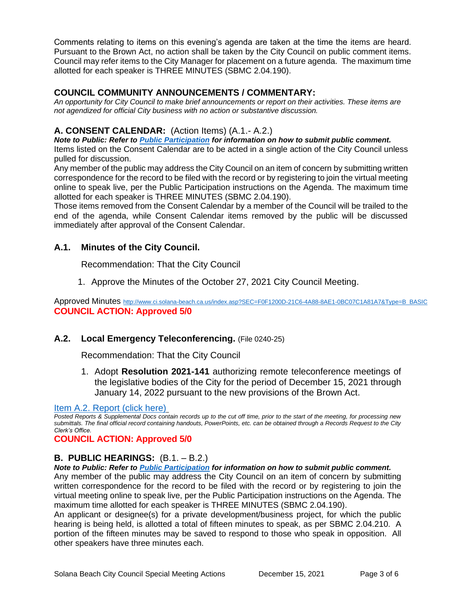Comments relating to items on this evening's agenda are taken at the time the items are heard. Pursuant to the Brown Act, no action shall be taken by the City Council on public comment items. Council may refer items to the City Manager for placement on a future agenda. The maximum time allotted for each speaker is THREE MINUTES (SBMC 2.04.190).

# **COUNCIL COMMUNITY ANNOUNCEMENTS / COMMENTARY:**

*An opportunity for City Council to make brief announcements or report on their activities. These items are not agendized for official City business with no action or substantive discussion.* 

# **A. CONSENT CALENDAR:** (Action Items) (A.1.- A.2.)

*Note to Public: Refer to Public Participation for information on how to submit public comment.* 

Items listed on the Consent Calendar are to be acted in a single action of the City Council unless pulled for discussion.

Any member of the public may address the City Council on an item of concern by submitting written correspondence for the record to be filed with the record or by registering to join the virtual meeting online to speak live, per the Public Participation instructions on the Agenda. The maximum time allotted for each speaker is THREE MINUTES (SBMC 2.04.190).

Those items removed from the Consent Calendar by a member of the Council will be trailed to the end of the agenda, while Consent Calendar items removed by the public will be discussed immediately after approval of the Consent Calendar.

# **A.1. Minutes of the City Council.**

Recommendation: That the City Council

1. Approve the Minutes of the October 27, 2021 City Council Meeting.

Approved Minutes [http://www.ci.solana-beach.ca.us/index.asp?SEC=F0F1200D-21C6-4A88-8AE1-0BC07C1A81A7&Type=B\\_BASIC](http://www.ci.solana-beach.ca.us/index.asp?SEC=F0F1200D-21C6-4A88-8AE1-0BC07C1A81A7&Type=B_BASIC) **COUNCIL ACTION: Approved 5/0**

# **A.2. Local Emergency Teleconferencing.** (File 0240-25)

Recommendation: That the City Council

1. Adopt **Resolution 2021-141** authorizing remote teleconference meetings of the legislative bodies of the City for the period of December 15, 2021 through January 14, 2022 pursuant to the new provisions of the Brown Act.

## [Item A.2. Report \(click here\)](https://solanabeach.govoffice3.com/vertical/Sites/%7B840804C2-F869-4904-9AE3-720581350CE7%7D/uploads/Item_A.2._Report_(click_here)_-_12-15-21-_O.pdf)

*Posted Reports & Supplemental Docs contain records up to the cut off time, prior to the start of the meeting, for processing new submittals. The final official record containing handouts, PowerPoints, etc. can be obtained through a Records Request to the City Clerk's Office.*

# **COUNCIL ACTION: Approved 5/0**

# **B. PUBLIC HEARINGS:** (B.1. – B.2.)

*Note to Public: Refer to Public Participation for information on how to submit public comment.* 

Any member of the public may address the City Council on an item of concern by submitting written correspondence for the record to be filed with the record or by registering to join the virtual meeting online to speak live, per the Public Participation instructions on the Agenda. The maximum time allotted for each speaker is THREE MINUTES (SBMC 2.04.190).

An applicant or designee(s) for a private development/business project, for which the public hearing is being held, is allotted a total of fifteen minutes to speak, as per SBMC 2.04.210. A portion of the fifteen minutes may be saved to respond to those who speak in opposition. All other speakers have three minutes each.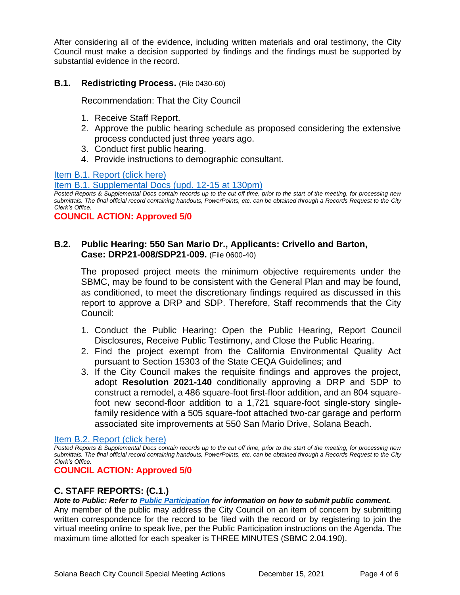After considering all of the evidence, including written materials and oral testimony, the City Council must make a decision supported by findings and the findings must be supported by substantial evidence in the record.

## **B.1. Redistricting Process.** (File 0430-60)

Recommendation: That the City Council

- 1. Receive Staff Report.
- 2. Approve the public hearing schedule as proposed considering the extensive process conducted just three years ago.
- 3. Conduct first public hearing.
- 4. Provide instructions to demographic consultant.

[Item B.1. Report \(click here\)](https://solanabeach.govoffice3.com/vertical/Sites/%7B840804C2-F869-4904-9AE3-720581350CE7%7D/uploads/Item_B.1._Report_(click_here)_-_12-15-21-_O.pdf)

[Item B.1. Supplemental Docs \(upd. 12-15 at 130pm\)](https://solanabeach.govoffice3.com/vertical/Sites/%7B840804C2-F869-4904-9AE3-720581350CE7%7D/uploads/Item_B.1._Supplemental_Docs_(upd._12-13_at_130pm)_-_O.pdf)

*Posted Reports & Supplemental Docs contain records up to the cut off time, prior to the start of the meeting, for processing new submittals. The final official record containing handouts, PowerPoints, etc. can be obtained through a Records Request to the City Clerk's Office.*

**COUNCIL ACTION: Approved 5/0**

## **B.2. Public Hearing: 550 San Mario Dr., Applicants: Crivello and Barton, Case: DRP21-008/SDP21-009.** (File 0600-40)

The proposed project meets the minimum objective requirements under the SBMC, may be found to be consistent with the General Plan and may be found, as conditioned, to meet the discretionary findings required as discussed in this report to approve a DRP and SDP. Therefore, Staff recommends that the City Council:

- 1. Conduct the Public Hearing: Open the Public Hearing, Report Council Disclosures, Receive Public Testimony, and Close the Public Hearing.
- 2. Find the project exempt from the California Environmental Quality Act pursuant to Section 15303 of the State CEQA Guidelines; and
- 3. If the City Council makes the requisite findings and approves the project, adopt **Resolution 2021-140** conditionally approving a DRP and SDP to construct a remodel, a 486 square-foot first-floor addition, and an 804 squarefoot new second-floor addition to a 1,721 square-foot single-story singlefamily residence with a 505 square-foot attached two-car garage and perform associated site improvements at 550 San Mario Drive, Solana Beach.

## [Item B.2. Report \(click here\)](https://solanabeach.govoffice3.com/vertical/Sites/%7B840804C2-F869-4904-9AE3-720581350CE7%7D/uploads/Item_B.2._Report_(click_here)_-_12-15-21-_O.pdf)

*Posted Reports & Supplemental Docs contain records up to the cut off time, prior to the start of the meeting, for processing new submittals. The final official record containing handouts, PowerPoints, etc. can be obtained through a Records Request to the City Clerk's Office.*

## **COUNCIL ACTION: Approved 5/0**

# **C. STAFF REPORTS: (C.1.)**

*Note to Public: Refer to Public Participation for information on how to submit public comment.* 

Any member of the public may address the City Council on an item of concern by submitting written correspondence for the record to be filed with the record or by registering to join the virtual meeting online to speak live, per the Public Participation instructions on the Agenda. The maximum time allotted for each speaker is THREE MINUTES (SBMC 2.04.190).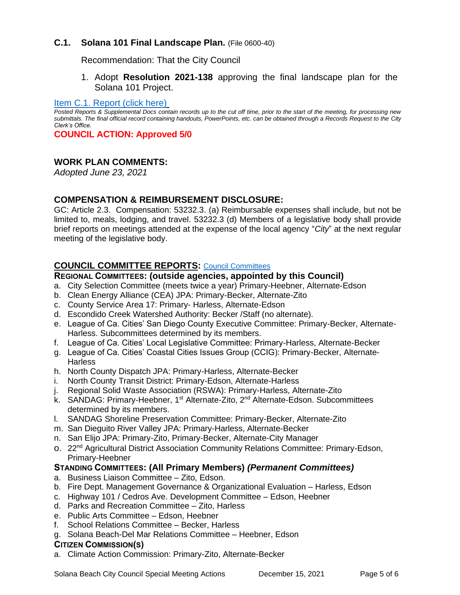## **C.1. Solana 101 Final Landscape Plan.** (File 0600-40)

Recommendation: That the City Council

1. Adopt **Resolution 2021-138** approving the final landscape plan for the Solana 101 Project.

### [Item C.1. Report \(click here\)](https://solanabeach.govoffice3.com/vertical/Sites/%7B840804C2-F869-4904-9AE3-720581350CE7%7D/uploads/Item_C.1._Report_(click_here)_-_12-15-21-_O.pdf)

*Posted Reports & Supplemental Docs contain records up to the cut off time, prior to the start of the meeting, for processing new submittals. The final official record containing handouts, PowerPoints, etc. can be obtained through a Records Request to the City Clerk's Office.*

**COUNCIL ACTION: Approved 5/0**

## **WORK PLAN COMMENTS:**

*Adopted June 23, 2021*

## **COMPENSATION & REIMBURSEMENT DISCLOSURE:**

GC: Article 2.3. Compensation: 53232.3. (a) Reimbursable expenses shall include, but not be limited to, meals, lodging, and travel. 53232.3 (d) Members of a legislative body shall provide brief reports on meetings attended at the expense of the local agency "*City*" at the next regular meeting of the legislative body.

## **COUNCIL COMMITTEE REPORTS:** [Council Committees](https://www.ci.solana-beach.ca.us/index.asp?SEC=584E1192-3850-46EA-B977-088AC3E81E0D&Type=B_BASIC)

### **REGIONAL COMMITTEES: (outside agencies, appointed by this Council)**

- a. City Selection Committee (meets twice a year) Primary-Heebner, Alternate-Edson
- b. Clean Energy Alliance (CEA) JPA: Primary-Becker, Alternate-Zito
- c. County Service Area 17: Primary- Harless, Alternate-Edson
- d. Escondido Creek Watershed Authority: Becker /Staff (no alternate).
- e. League of Ca. Cities' San Diego County Executive Committee: Primary-Becker, Alternate-Harless. Subcommittees determined by its members.
- f. League of Ca. Cities' Local Legislative Committee: Primary-Harless, Alternate-Becker
- g. League of Ca. Cities' Coastal Cities Issues Group (CCIG): Primary-Becker, Alternate-**Harless**
- h. North County Dispatch JPA: Primary-Harless, Alternate-Becker
- i. North County Transit District: Primary-Edson, Alternate-Harless
- j. Regional Solid Waste Association (RSWA): Primary-Harless, Alternate-Zito
- k. SANDAG: Primary-Heebner, 1<sup>st</sup> Alternate-Zito, 2<sup>nd</sup> Alternate-Edson. Subcommittees determined by its members.
- l. SANDAG Shoreline Preservation Committee: Primary-Becker, Alternate-Zito
- m. San Dieguito River Valley JPA: Primary-Harless, Alternate-Becker
- n. San Elijo JPA: Primary-Zito, Primary-Becker, Alternate-City Manager
- o. 22nd Agricultural District Association Community Relations Committee: Primary-Edson, Primary-Heebner

## **STANDING COMMITTEES: (All Primary Members)** *(Permanent Committees)*

- a. Business Liaison Committee Zito, Edson.
- b. Fire Dept. Management Governance & Organizational Evaluation Harless, Edson
- c. Highway 101 / Cedros Ave. Development Committee Edson, Heebner
- d. Parks and Recreation Committee Zito, Harless
- e. Public Arts Committee Edson, Heebner
- f. School Relations Committee Becker, Harless
- g. Solana Beach-Del Mar Relations Committee Heebner, Edson

#### **CITIZEN COMMISSION(S)**

a. Climate Action Commission: Primary-Zito, Alternate-Becker